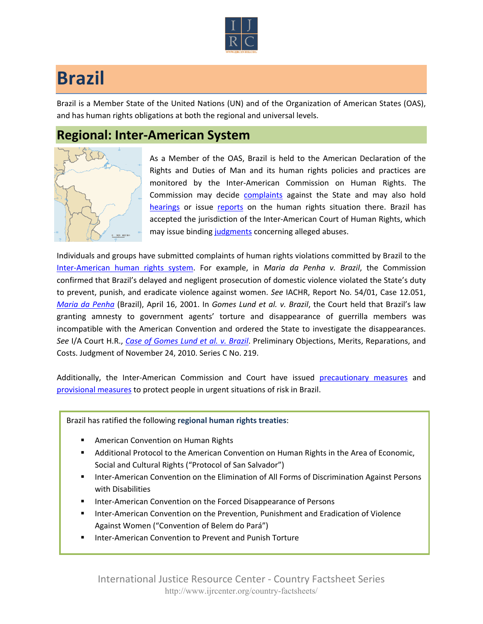

## **Brazil**

Brazil is a Member State of the United Nations (UN) and of the Organization of American States (OAS), and has human rights obligations at both the regional and universal levels.

## **Regional: Inter-American System**



As a Member of the OAS, Brazil is held to the American Declaration of the Rights and Duties of Man and its human rights policies and practices are monitored by the Inter-American Commission on Human Rights. The Commission may decide [complaints](http://www.oas.org/en/iachr/decisions/merits.asp) against the State and may also hold [hearings](http://www.oas.org/es/cidh/audiencias/advanced.aspx?lang=en) or issue [reports](http://www.oas.org/en/iachr/reports/country.asp) on the human rights situation there. Brazil has accepted the jurisdiction of the Inter-American Court of Human Rights, which may issue binding [judgments](http://www.corteidh.or.cr/cf/Jurisprudencia2/busqueda_casos_contenciosos.cfm?lang=en) concerning alleged abuses.

Individuals and groups have submitted complaints of human rights violations committed by Brazil to the [Inter-American human rights system](http://www.ijrcenter.org/regional/inter-american-system/). For example, in *Maria da Penha v. Brazil*, the Commission confirmed that Brazil's delayed and negligent prosecution of domestic violence violated the State's duty to prevent, punish, and eradicate violence against women. *See* IACHR, Report No. 54/01, Case 12.051, *[Maria da Penha](http://cidh.org/annualrep/2000eng/ChapterIII/Merits/Brazil12.051.htm)* (Brazil), April 16, 2001. In *Gomes Lund et al. v. Brazil*, the Court held that Brazil's law granting amnesty to government agents' torture and disappearance of guerrilla members was incompatible with the American Convention and ordered the State to investigate the disappearances. *See* I/A Court H.R., *[Case of Gomes Lund et al. v. Brazil](http://www.corteidh.or.cr/docs/casos/articulos/seriec_219_ing.pdf)*. Preliminary Objections, Merits, Reparations, and Costs. Judgment of November 24, 2010. Series C No. 219.

Additionally, the Inter-American Commission and Court have issued [precautionary measures](http://www.oas.org/en/iachr/decisions/precautionary.asp) and [provisional measures](http://www.corteidh.or.cr/cf/Jurisprudencia2/busqueda_medidas_provisionales.cfm?lang=en) to protect people in urgent situations of risk in Brazil.

Brazil has ratified the following **regional human rights treaties**:

- American Convention on Human Rights
- Additional Protocol to the American Convention on Human Rights in the Area of Economic, Social and Cultural Rights ("Protocol of San Salvador")
- Inter-American Convention on the Elimination of All Forms of Discrimination Against Persons with Disabilities
- Inter-American Convention on the Forced Disappearance of Persons
- Inter-American Convention on the Prevention, Punishment and Eradication of Violence Against Women ("Convention of Belem do Pará")
- **Inter-American Convention to Prevent and Punish Torture**